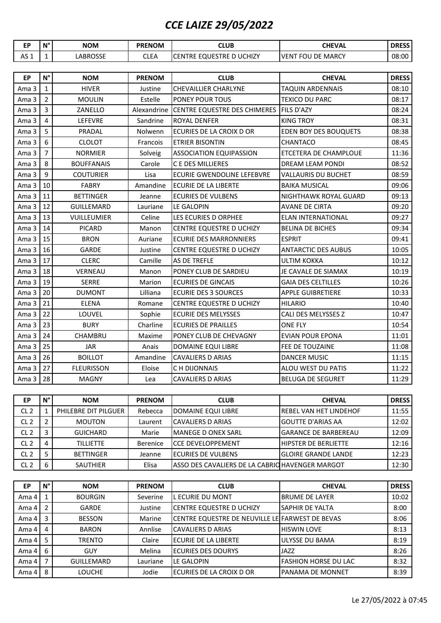## *CCE LAIZE 29/05/2022*

| <b>EP</b>       | $\mathsf{N}^\circ$ | <b>NOM</b>           | <b>PRENOM</b> | <b>CLUB</b>                             | <b>CHEVAL</b>                | <b>DRESS</b> |  |  |
|-----------------|--------------------|----------------------|---------------|-----------------------------------------|------------------------------|--------------|--|--|
| AS <sub>1</sub> | $\mathbf{1}$       | LABROSSE             | <b>CLEA</b>   | CENTRE EQUESTRE D UCHIZY                | <b>VENT FOU DE MARCY</b>     | 08:00        |  |  |
|                 |                    |                      |               |                                         |                              |              |  |  |
| EP              | $N^{\circ}$        | <b>NOM</b>           | <b>PRENOM</b> | <b>CLUB</b>                             | <b>CHEVAL</b>                | <b>DRESS</b> |  |  |
| Ama 3           | $\mathbf{1}$       | <b>HIVER</b>         | Justine       | <b>CHEVAILLIER CHARLYNE</b>             | <b>TAQUIN ARDENNAIS</b>      | 08:10        |  |  |
| Ama 3           | $\overline{2}$     | <b>MOULIN</b>        | Estelle       | PONEY POUR TOUS                         | TEXICO DU PARC               | 08:17        |  |  |
| Ama 3           | 3                  | ZANELLO              | Alexandrine   | CENTRE EQUESTRE DES CHIMERES FILS D'AZY |                              | 08:24        |  |  |
| Ama 3           | 4                  | <b>LEFEVRE</b>       | Sandrine      | ROYAL DENFER                            | KING TROY                    | 08:31        |  |  |
| Ama 3           | 5                  | PRADAL               | Nolwenn       | ECURIES DE LA CROIX D OR                | <b>EDEN BOY DES BOUQUETS</b> | 08:38        |  |  |
| Ama 3           | 6                  | <b>CLOLOT</b>        | Francois      | <b>ETRIER BISONTIN</b>                  | CHANTACO                     | 08:45        |  |  |
| Ama 3           | $\overline{7}$     | <b>NORMIER</b>       | Solveig       | <b>ASSOCIATION EQUIPASSION</b>          | ETCETERA DE CHAMPLOUE        | 11:36        |  |  |
| Ama 3           | 8                  | <b>BOUFFANAIS</b>    | Carole        | <b>CE DES MILLIERES</b>                 | DREAM LEAM PONDI             | 08:52        |  |  |
| Ama 3           | 9                  | <b>COUTURIER</b>     | Lisa          | ECURIE GWENDOLINE LEFEBVRE              | VALLAURIS DU BUCHET          | 08:59        |  |  |
| Ama 3           | 10                 | <b>FABRY</b>         | Amandine      | <b>ECURIE DE LA LIBERTE</b>             | <b>BAIKA MUSICAL</b>         | 09:06        |  |  |
| Ama 3           | 11                 | <b>BETTINGER</b>     | Jeanne        | <b>ECURIES DE VULBENS</b>               | NIGHTHAWK ROYAL GUARD        | 09:13        |  |  |
| Ama 3           | 12                 | <b>GUILLEMARD</b>    | Lauriane      | LE GALOPIN                              | <b>AVANE DE CIRTA</b>        | 09:20        |  |  |
| Ama 3           | 13                 | <b>VUILLEUMIER</b>   | Celine        | LES ECURIES D ORPHEE                    | ELAN INTERNATIONAL           | 09:27        |  |  |
| Ama 3           | 14                 | <b>PICARD</b>        | Manon         | <b>CENTRE EQUESTRE D UCHIZY</b>         | <b>BELINA DE BICHES</b>      | 09:34        |  |  |
| Ama 3           | 15                 | <b>BRON</b>          | Auriane       | <b>ECURIE DES MARRONNIERS</b>           | <b>ESPRIT</b>                | 09:41        |  |  |
| Ama 3           | 16                 | <b>GARDE</b>         | Justine       | <b>CENTRE EQUESTRE D UCHIZY</b>         | <b>ANTARCTIC DES AUBUS</b>   | 10:05        |  |  |
| Ama 3           | 17                 | <b>CLERC</b>         | Camille       | AS DE TREFLE                            | ULTIM KOKKA                  | 10:12        |  |  |
| Ama 3           | 18                 | VERNEAU              | Manon         | PONEY CLUB DE SARDIEU                   | JE CAVALE DE SIAMAX          | 10:19        |  |  |
| Ama 3           | 19                 | <b>SERRE</b>         | Marion        | <b>ECURIES DE GINCAIS</b>               | <b>GAIA DES CELTILLES</b>    | 10:26        |  |  |
| Ama 3           | 20                 | <b>DUMONT</b>        | Lilliana      | <b>ECURIE DES 3 SOURCES</b>             | APPLE GUIBRETIERE            | 10:33        |  |  |
| Ama 3           | 21                 | <b>ELENA</b>         | Romane        | <b>CENTRE EQUESTRE D UCHIZY</b>         | HILARIO                      | 10:40        |  |  |
| Ama 3           | 22                 | LOUVEL               | Sophie        | <b>ECURIE DES MELYSSES</b>              | CALI DES MELYSSES Z          | 10:47        |  |  |
| Ama 3           | 23                 | <b>BURY</b>          | Charline      | <b>ECURIES DE PRAILLES</b>              | ONE FLY                      | 10:54        |  |  |
| Ama 3           | 24                 | CHAMBRU              | Maxime        | PONEY CLUB DE CHEVAGNY                  | <b>EVIAN POUR EPONA</b>      | 11:01        |  |  |
| Ama 3           | 25                 | JAR                  | Anais         | DOMAINE EQUI LIBRE                      | FEE DE TOUZAINE              | 11:08        |  |  |
| Ama 3           | 26                 | <b>BOILLOT</b>       | Amandine      | CAVALIERS D ARIAS                       | <b>DANCER MUSIC</b>          | 11:15        |  |  |
| Ama 3           | 27                 | <b>FLEURISSON</b>    | Eloise        | C H DIJONNAIS                           | ALOU WEST DU PATIS           | 11:22        |  |  |
| Ama 3           | 28                 | <b>MAGNY</b>         | Lea           | <b>CAVALIERS D ARIAS</b>                | <b>BELUGA DE SEGURET</b>     | 11:29        |  |  |
|                 |                    |                      |               |                                         |                              |              |  |  |
| EP              | $\mathsf{N}^\circ$ | <b>NOM</b>           | <b>PRENOM</b> | <b>CLUB</b>                             | <b>CHEVAL</b>                | <b>DRESS</b> |  |  |
| CL <sub>2</sub> | 1                  | PHILEBRE DIT PILGUER | Rebecca       | DOMAINE EQUI LIBRE                      | REBEL VAN HET LINDEHOF       | 11:55        |  |  |
| CL <sub>2</sub> | $\overline{2}$     | <b>MOUTON</b>        | Laurent       | <b>CAVALIERS D ARIAS</b>                | <b>GOUTTE D'ARIAS AA</b>     | 12:02        |  |  |
| CL <sub>2</sub> | 3                  | <b>GUICHARD</b>      | Marie         | <b>MANEGE D ONEX SARL</b>               | <b>GARANCE DE BARBEREAU</b>  | 12:09        |  |  |
| CL <sub>2</sub> | 4                  | <b>TILLIETTE</b>     | Berenice      | <b>CCE DEVELOPPEMENT</b>                | HIPSTER DE BERLIETTE         | 12:16        |  |  |
| CL <sub>2</sub> | $\mathsf S$        | <b>BETTINGER</b>     | Jeanne        | <b>ECURIES DE VULBENS</b>               | <b>GLOIRE GRANDE LANDE</b>   | 12:23        |  |  |

| EP    | $N^{\circ}$ | <b>NOM</b>     | <b>PRENOM</b> | <b>CLUB</b>                                             | <b>CHEVAL</b>           | <b>DRESS</b> |
|-------|-------------|----------------|---------------|---------------------------------------------------------|-------------------------|--------------|
| Ama 4 |             | <b>BOURGIN</b> | Severine      | L ECURIE DU MONT                                        | <b>BRUME DE LAYER</b>   | 10:02        |
| Ama 4 | 2           | <b>GARDE</b>   | Justine       | <b>CENTRE EQUESTRE D UCHIZY</b>                         | <b>SAPHIR DE YALTA</b>  | 8:00         |
| Ama 4 | 3           | <b>BESSON</b>  | Marine        | <b>ICENTRE EQUESTRE DE NEUVILLE LEIFARWEST DE BEVAS</b> |                         | 8:06         |
| Ama 4 | 4           | <b>BARON</b>   | Annlise       | <b>CAVALIERS D ARIAS</b>                                | <b>HISWIN LOVE</b>      | 8:13         |
| Ama 4 | 5           | TRENTO         | Claire        | <b>IECURIE DE LA LIBERTE</b>                            | ULYSSE DU BAMA          | 8:19         |
| Ama 4 | 6           | GUY            | Melina        | <b>I</b> ECURIES DES DOURYS                             | <b>JAZZ</b>             | 8:26         |
| Ama 4 |             | GUILLEMARD     | Lauriane      | LE GALOPIN                                              | FASHION HORSE DU LAC    | 8:32         |
| Ama 4 | 8           | <b>LOUCHE</b>  | Jodie         | ECURIES DE LA CROIX D OR                                | <b>PANAMA DE MONNET</b> | 8:39         |

CL 2 6 SAUTHIER Elisa ASSO DES CAVALIERS DE LA CABRIO HAVENGER MARGOT 12:30